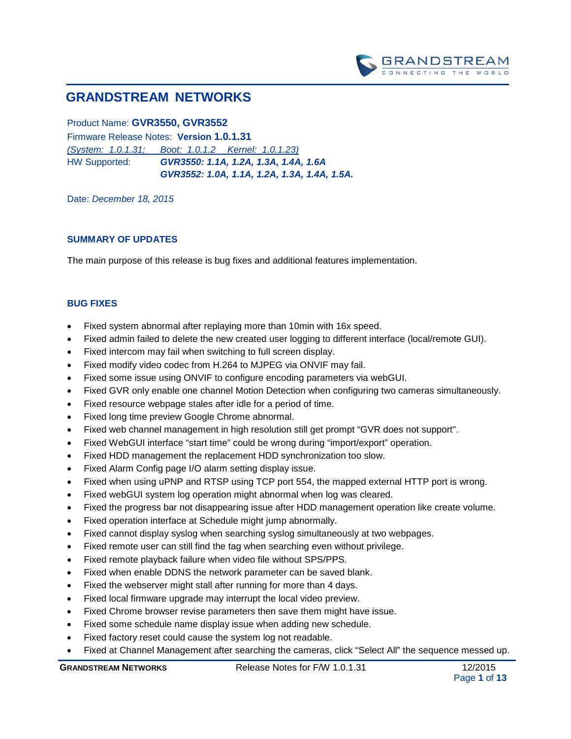

# **GRANDSTREAM NETWORKS**

## Product Name: **GVR3550, GVR3552**

Firmware Release Notes: **Version 1.0.1.31** *(System: 1.0.1.31; Boot: 1.0.1.2 Kernel: 1.0.1.23)* HW Supported: *GVR3550: 1.1A, 1.2A, 1.3A, 1.4A, 1.6A*

*GVR3552: 1.0A, 1.1A, 1.2A, 1.3A, 1.4A, 1.5A.* 

Date: *December 18, 2015*

#### **SUMMARY OF UPDATES**

The main purpose of this release is bug fixes and additional features implementation.

- Fixed system abnormal after replaying more than 10min with 16x speed.
- Fixed admin failed to delete the new created user logging to different interface (local/remote GUI).
- Fixed intercom may fail when switching to full screen display.
- Fixed modify video codec from H.264 to MJPEG via ONVIF may fail.
- Fixed some issue using ONVIF to configure encoding parameters via webGUI.
- Fixed GVR only enable one channel Motion Detection when configuring two cameras simultaneously.
- Fixed resource webpage stales after idle for a period of time.
- Fixed long time preview Google Chrome abnormal.
- Fixed web channel management in high resolution still get prompt "GVR does not support".
- Fixed WebGUI interface "start time" could be wrong during "import/export" operation.
- Fixed HDD management the replacement HDD synchronization too slow.
- Fixed Alarm Config page I/O alarm setting display issue.
- Fixed when using uPNP and RTSP using TCP port 554, the mapped external HTTP port is wrong.
- Fixed webGUI system log operation might abnormal when log was cleared.
- Fixed the progress bar not disappearing issue after HDD management operation like create volume.
- Fixed operation interface at Schedule might jump abnormally.
- Fixed cannot display syslog when searching syslog simultaneously at two webpages.
- Fixed remote user can still find the tag when searching even without privilege.
- Fixed remote playback failure when video file without SPS/PPS.
- Fixed when enable DDNS the network parameter can be saved blank.
- Fixed the webserver might stall after running for more than 4 days.
- Fixed local firmware upgrade may interrupt the local video preview.
- Fixed Chrome browser revise parameters then save them might have issue.
- Fixed some schedule name display issue when adding new schedule.
- Fixed factory reset could cause the system log not readable.
- Fixed at Channel Management after searching the cameras, click "Select All" the sequence messed up.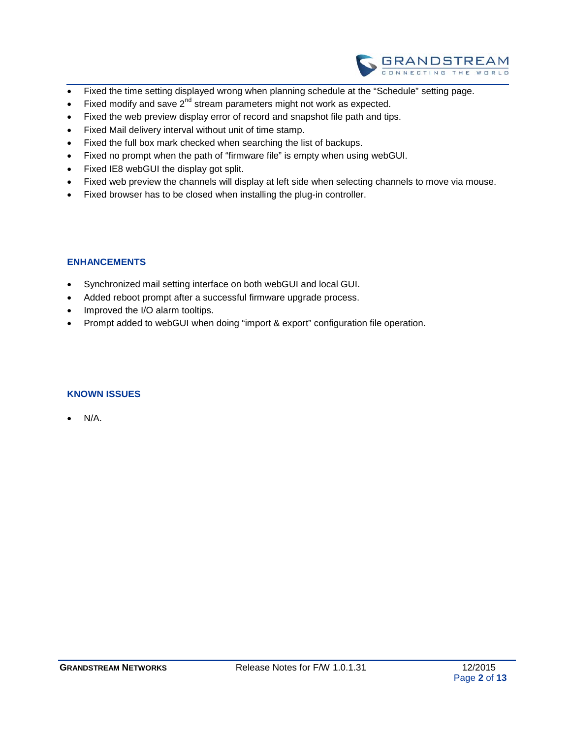

- Fixed the time setting displayed wrong when planning schedule at the "Schedule" setting page.
- Fixed modify and save  $2^{nd}$  stream parameters might not work as expected.
- Fixed the web preview display error of record and snapshot file path and tips.
- Fixed Mail delivery interval without unit of time stamp.
- Fixed the full box mark checked when searching the list of backups.
- Fixed no prompt when the path of "firmware file" is empty when using webGUI.
- Fixed IE8 webGUI the display got split.
- Fixed web preview the channels will display at left side when selecting channels to move via mouse.
- Fixed browser has to be closed when installing the plug-in controller.

- Synchronized mail setting interface on both webGUI and local GUI.
- Added reboot prompt after a successful firmware upgrade process.
- Improved the I/O alarm tooltips.
- Prompt added to webGUI when doing "import & export" configuration file operation.

#### **KNOWN ISSUES**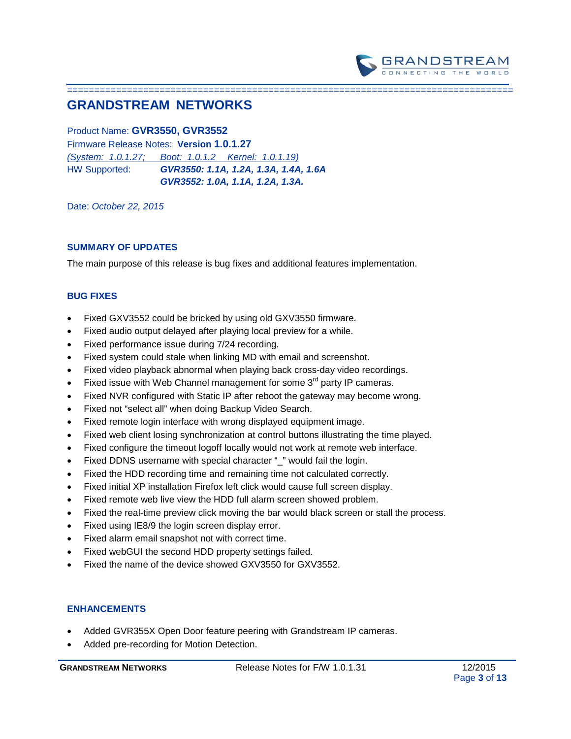

# **GRANDSTREAM NETWORKS**

### Product Name: **GVR3550, GVR3552**

Firmware Release Notes: **Version 1.0.1.27** *(System: 1.0.1.27; Boot: 1.0.1.2 Kernel: 1.0.1.19)* HW Supported: *GVR3550: 1.1A, 1.2A, 1.3A, 1.4A, 1.6A GVR3552: 1.0A, 1.1A, 1.2A, 1.3A.* 

Date: *October 22, 2015*

### **SUMMARY OF UPDATES**

The main purpose of this release is bug fixes and additional features implementation.

==================================================================================

#### **BUG FIXES**

- Fixed GXV3552 could be bricked by using old GXV3550 firmware.
- Fixed audio output delayed after playing local preview for a while.
- Fixed performance issue during 7/24 recording.
- Fixed system could stale when linking MD with email and screenshot.
- Fixed video playback abnormal when playing back cross-day video recordings.
- Fixed issue with Web Channel management for some  $3<sup>rd</sup>$  party IP cameras.
- Fixed NVR configured with Static IP after reboot the gateway may become wrong.
- Fixed not "select all" when doing Backup Video Search.
- Fixed remote login interface with wrong displayed equipment image.
- Fixed web client losing synchronization at control buttons illustrating the time played.
- Fixed configure the timeout logoff locally would not work at remote web interface.
- Fixed DDNS username with special character " " would fail the login.
- Fixed the HDD recording time and remaining time not calculated correctly.
- Fixed initial XP installation Firefox left click would cause full screen display.
- Fixed remote web live view the HDD full alarm screen showed problem.
- Fixed the real-time preview click moving the bar would black screen or stall the process.
- Fixed using IE8/9 the login screen display error.
- Fixed alarm email snapshot not with correct time.
- Fixed webGUI the second HDD property settings failed.
- Fixed the name of the device showed GXV3550 for GXV3552.

### **ENHANCEMENTS**

- Added GVR355X Open Door feature peering with Grandstream IP cameras.
- Added pre-recording for Motion Detection.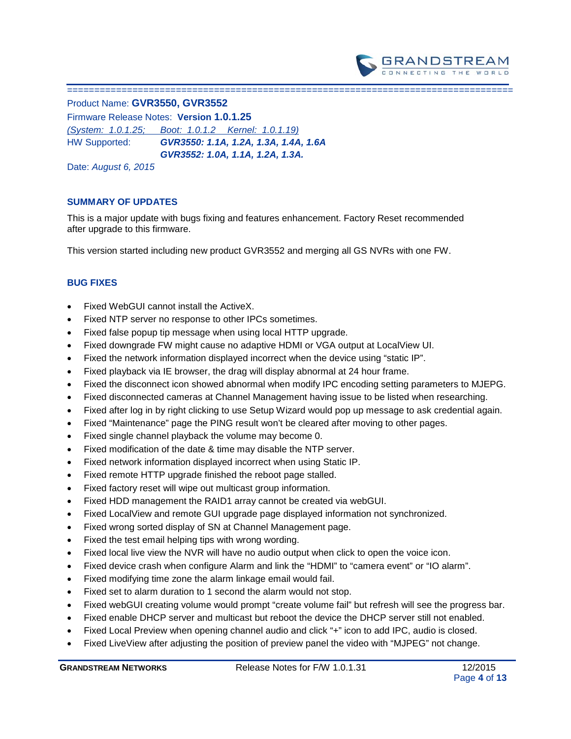

=================================

Product Name: **GVR3550, GVR3552** 

Firmware Release Notes: **Version 1.0.1.25** *(System: 1.0.1.25; Boot: 1.0.1.2 Kernel: 1.0.1.19)* HW Supported: *GVR3550: 1.1A, 1.2A, 1.3A, 1.4A, 1.6A GVR3552: 1.0A, 1.1A, 1.2A, 1.3A.* 

Date: *August 6, 2015*

## **SUMMARY OF UPDATES**

This is a major update with bugs fixing and features enhancement. Factory Reset recommended after upgrade to this firmware.

This version started including new product GVR3552 and merging all GS NVRs with one FW.

- Fixed WebGUI cannot install the ActiveX.
- Fixed NTP server no response to other IPCs sometimes.
- Fixed false popup tip message when using local HTTP upgrade.
- Fixed downgrade FW might cause no adaptive HDMI or VGA output at LocalView UI.
- Fixed the network information displayed incorrect when the device using "static IP".
- Fixed playback via IE browser, the drag will display abnormal at 24 hour frame.
- Fixed the disconnect icon showed abnormal when modify IPC encoding setting parameters to MJEPG.
- Fixed disconnected cameras at Channel Management having issue to be listed when researching.
- Fixed after log in by right clicking to use Setup Wizard would pop up message to ask credential again.
- Fixed "Maintenance" page the PING result won't be cleared after moving to other pages.
- Fixed single channel playback the volume may become 0.
- Fixed modification of the date & time may disable the NTP server.
- Fixed network information displayed incorrect when using Static IP.
- Fixed remote HTTP upgrade finished the reboot page stalled.
- Fixed factory reset will wipe out multicast group information.
- Fixed HDD management the RAID1 array cannot be created via webGUI.
- Fixed LocalView and remote GUI upgrade page displayed information not synchronized.
- Fixed wrong sorted display of SN at Channel Management page.
- Fixed the test email helping tips with wrong wording.
- Fixed local live view the NVR will have no audio output when click to open the voice icon.
- Fixed device crash when configure Alarm and link the "HDMI" to "camera event" or "IO alarm".
- Fixed modifying time zone the alarm linkage email would fail.
- Fixed set to alarm duration to 1 second the alarm would not stop.
- Fixed webGUI creating volume would prompt "create volume fail" but refresh will see the progress bar.
- Fixed enable DHCP server and multicast but reboot the device the DHCP server still not enabled.
- Fixed Local Preview when opening channel audio and click "+" icon to add IPC, audio is closed.
- Fixed LiveView after adjusting the position of preview panel the video with "MJPEG" not change.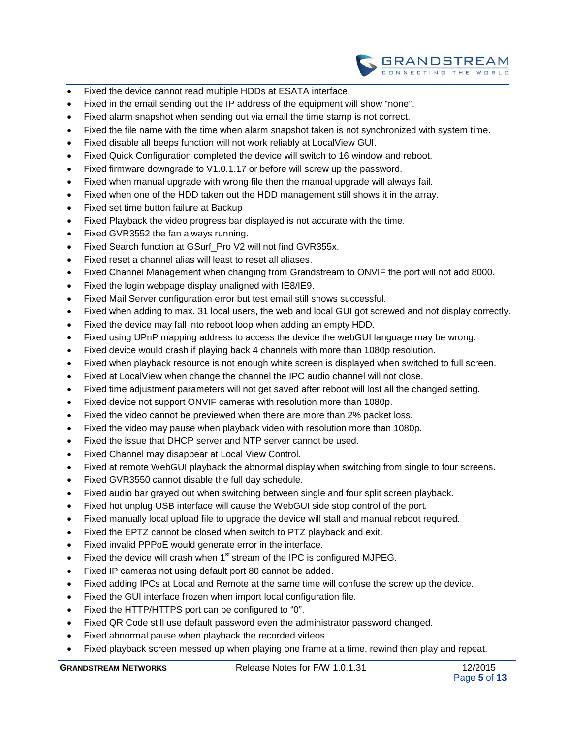

- Fixed the device cannot read multiple HDDs at ESATA interface.
- Fixed in the email sending out the IP address of the equipment will show "none".
- Fixed alarm snapshot when sending out via email the time stamp is not correct.
- Fixed the file name with the time when alarm snapshot taken is not synchronized with system time.
- Fixed disable all beeps function will not work reliably at LocalView GUI.
- Fixed Quick Configuration completed the device will switch to 16 window and reboot.
- Fixed firmware downgrade to V1.0.1.17 or before will screw up the password.
- Fixed when manual upgrade with wrong file then the manual upgrade will always fail.
- Fixed when one of the HDD taken out the HDD management still shows it in the array.
- Fixed set time button failure at Backup
- Fixed Playback the video progress bar displayed is not accurate with the time.
- Fixed GVR3552 the fan always running.
- Fixed Search function at GSurf\_Pro V2 will not find GVR355x.
- Fixed reset a channel alias will least to reset all aliases.
- Fixed Channel Management when changing from Grandstream to ONVIF the port will not add 8000.
- Fixed the login webpage display unaligned with IE8/IE9.
- Fixed Mail Server configuration error but test email still shows successful.
- Fixed when adding to max. 31 local users, the web and local GUI got screwed and not display correctly.
- Fixed the device may fall into reboot loop when adding an empty HDD.
- Fixed using UPnP mapping address to access the device the webGUI language may be wrong.
- Fixed device would crash if playing back 4 channels with more than 1080p resolution.
- Fixed when playback resource is not enough white screen is displayed when switched to full screen.
- Fixed at LocalView when change the channel the IPC audio channel will not close.
- Fixed time adjustment parameters will not get saved after reboot will lost all the changed setting.
- Fixed device not support ONVIF cameras with resolution more than 1080p.
- Fixed the video cannot be previewed when there are more than 2% packet loss.
- Fixed the video may pause when playback video with resolution more than 1080p.
- Fixed the issue that DHCP server and NTP server cannot be used.
- Fixed Channel may disappear at Local View Control.
- Fixed at remote WebGUI playback the abnormal display when switching from single to four screens.
- Fixed GVR3550 cannot disable the full day schedule.
- Fixed audio bar grayed out when switching between single and four split screen playback.
- Fixed hot unplug USB interface will cause the WebGUI side stop control of the port.
- Fixed manually local upload file to upgrade the device will stall and manual reboot required.
- Fixed the EPTZ cannot be closed when switch to PTZ playback and exit.
- Fixed invalid PPPoE would generate error in the interface.
- Fixed the device will crash when  $1<sup>st</sup>$  stream of the IPC is configured MJPEG.
- Fixed IP cameras not using default port 80 cannot be added.
- Fixed adding IPCs at Local and Remote at the same time will confuse the screw up the device.
- Fixed the GUI interface frozen when import local configuration file.
- Fixed the HTTP/HTTPS port can be configured to "0".
- Fixed QR Code still use default password even the administrator password changed.
- Fixed abnormal pause when playback the recorded videos.
- Fixed playback screen messed up when playing one frame at a time, rewind then play and repeat.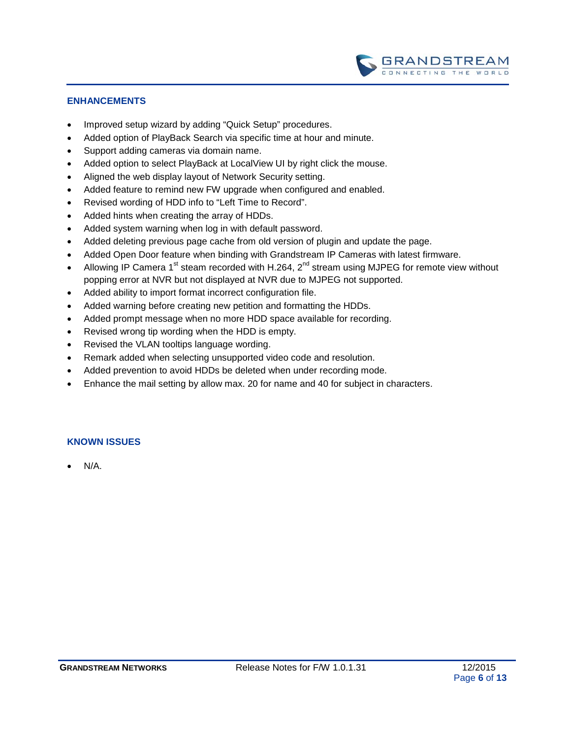

- Improved setup wizard by adding "Quick Setup" procedures.
- Added option of PlayBack Search via specific time at hour and minute.
- Support adding cameras via domain name.
- Added option to select PlayBack at LocalView UI by right click the mouse.
- Aligned the web display layout of Network Security setting.
- Added feature to remind new FW upgrade when configured and enabled.
- Revised wording of HDD info to "Left Time to Record".
- Added hints when creating the array of HDDs.
- Added system warning when log in with default password.
- Added deleting previous page cache from old version of plugin and update the page.
- Added Open Door feature when binding with Grandstream IP Cameras with latest firmware.
- Allowing IP Camera 1<sup>st</sup> steam recorded with H.264,  $2^{nd}$  stream using MJPEG for remote view without popping error at NVR but not displayed at NVR due to MJPEG not supported.
- Added ability to import format incorrect configuration file.
- Added warning before creating new petition and formatting the HDDs.
- Added prompt message when no more HDD space available for recording.
- Revised wrong tip wording when the HDD is empty.
- Revised the VLAN tooltips language wording.
- Remark added when selecting unsupported video code and resolution.
- Added prevention to avoid HDDs be deleted when under recording mode.
- Enhance the mail setting by allow max. 20 for name and 40 for subject in characters.

### **KNOWN ISSUES**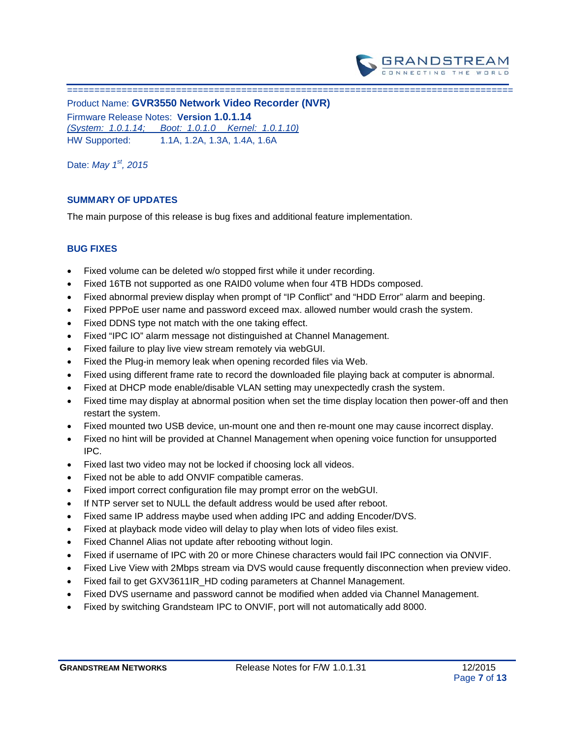

Product Name: **GVR3550 Network Video Recorder (NVR)** Firmware Release Notes: **Version 1.0.1.14** *(System: 1.0.1.14; Boot: 1.0.1.0 Kernel: 1.0.1.10)* HW Supported: 1.1A, 1.2A, 1.3A, 1.4A, 1.6A

Date: *May 1st, 2015*

## **SUMMARY OF UPDATES**

===============================

The main purpose of this release is bug fixes and additional feature implementation.

- Fixed volume can be deleted w/o stopped first while it under recording.
- Fixed 16TB not supported as one RAID0 volume when four 4TB HDDs composed.
- Fixed abnormal preview display when prompt of "IP Conflict" and "HDD Error" alarm and beeping.
- Fixed PPPoE user name and password exceed max. allowed number would crash the system.
- Fixed DDNS type not match with the one taking effect.
- Fixed "IPC IO" alarm message not distinguished at Channel Management.
- Fixed failure to play live view stream remotely via webGUI.
- Fixed the Plug-in memory leak when opening recorded files via Web.
- Fixed using different frame rate to record the downloaded file playing back at computer is abnormal.
- Fixed at DHCP mode enable/disable VLAN setting may unexpectedly crash the system.
- Fixed time may display at abnormal position when set the time display location then power-off and then restart the system.
- Fixed mounted two USB device, un-mount one and then re-mount one may cause incorrect display.
- Fixed no hint will be provided at Channel Management when opening voice function for unsupported IPC.
- Fixed last two video may not be locked if choosing lock all videos.
- Fixed not be able to add ONVIF compatible cameras.
- Fixed import correct configuration file may prompt error on the webGUI.
- If NTP server set to NULL the default address would be used after reboot.
- Fixed same IP address maybe used when adding IPC and adding Encoder/DVS.
- Fixed at playback mode video will delay to play when lots of video files exist.
- Fixed Channel Alias not update after rebooting without login.
- Fixed if username of IPC with 20 or more Chinese characters would fail IPC connection via ONVIF.
- Fixed Live View with 2Mbps stream via DVS would cause frequently disconnection when preview video.
- Fixed fail to get GXV3611IR\_HD coding parameters at Channel Management.
- Fixed DVS username and password cannot be modified when added via Channel Management.
- Fixed by switching Grandsteam IPC to ONVIF, port will not automatically add 8000.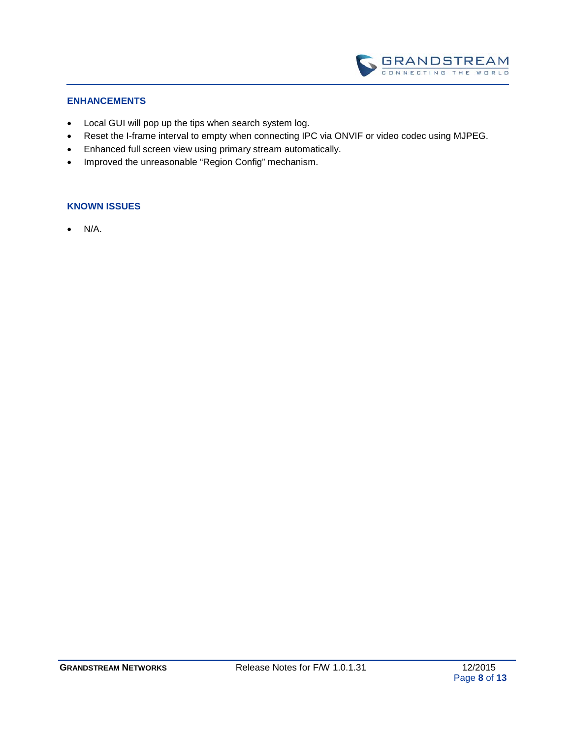

- Local GUI will pop up the tips when search system log.
- Reset the I-frame interval to empty when connecting IPC via ONVIF or video codec using MJPEG.
- Enhanced full screen view using primary stream automatically.
- Improved the unreasonable "Region Config" mechanism.

#### **KNOWN ISSUES**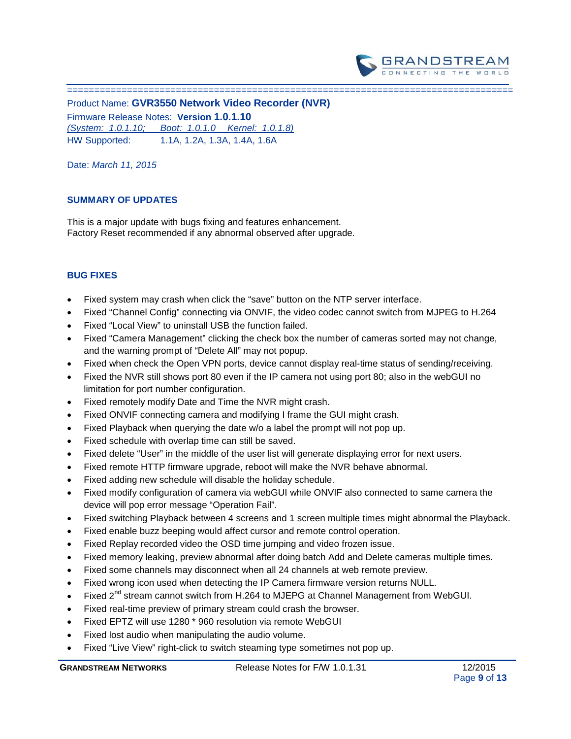

================================================================================== Product Name: **GVR3550 Network Video Recorder (NVR)** Firmware Release Notes: **Version 1.0.1.10** *(System: 1.0.1.10; Boot: 1.0.1.0 Kernel: 1.0.1.8)* HW Supported: 1.1A, 1.2A, 1.3A, 1.4A, 1.6A

Date: *March 11, 2015*

### **SUMMARY OF UPDATES**

This is a major update with bugs fixing and features enhancement. Factory Reset recommended if any abnormal observed after upgrade.

- Fixed system may crash when click the "save" button on the NTP server interface.
- Fixed "Channel Config" connecting via ONVIF, the video codec cannot switch from MJPEG to H.264
- Fixed "Local View" to uninstall USB the function failed.
- Fixed "Camera Management" clicking the check box the number of cameras sorted may not change, and the warning prompt of "Delete All" may not popup.
- Fixed when check the Open VPN ports, device cannot display real-time status of sending/receiving.
- Fixed the NVR still shows port 80 even if the IP camera not using port 80; also in the webGUI no limitation for port number configuration.
- Fixed remotely modify Date and Time the NVR might crash.
- Fixed ONVIF connecting camera and modifying I frame the GUI might crash.
- Fixed Playback when querying the date w/o a label the prompt will not pop up.
- Fixed schedule with overlap time can still be saved.
- Fixed delete "User" in the middle of the user list will generate displaying error for next users.
- Fixed remote HTTP firmware upgrade, reboot will make the NVR behave abnormal.
- Fixed adding new schedule will disable the holiday schedule.
- Fixed modify configuration of camera via webGUI while ONVIF also connected to same camera the device will pop error message "Operation Fail".
- Fixed switching Playback between 4 screens and 1 screen multiple times might abnormal the Playback.
- Fixed enable buzz beeping would affect cursor and remote control operation.
- Fixed Replay recorded video the OSD time jumping and video frozen issue.
- Fixed memory leaking, preview abnormal after doing batch Add and Delete cameras multiple times.
- Fixed some channels may disconnect when all 24 channels at web remote preview.
- Fixed wrong icon used when detecting the IP Camera firmware version returns NULL.
- Fixed 2<sup>nd</sup> stream cannot switch from H.264 to MJEPG at Channel Management from WebGUI.
- Fixed real-time preview of primary stream could crash the browser.
- Fixed EPTZ will use 1280 \* 960 resolution via remote WebGUI
- Fixed lost audio when manipulating the audio volume.
- Fixed "Live View" right-click to switch steaming type sometimes not pop up.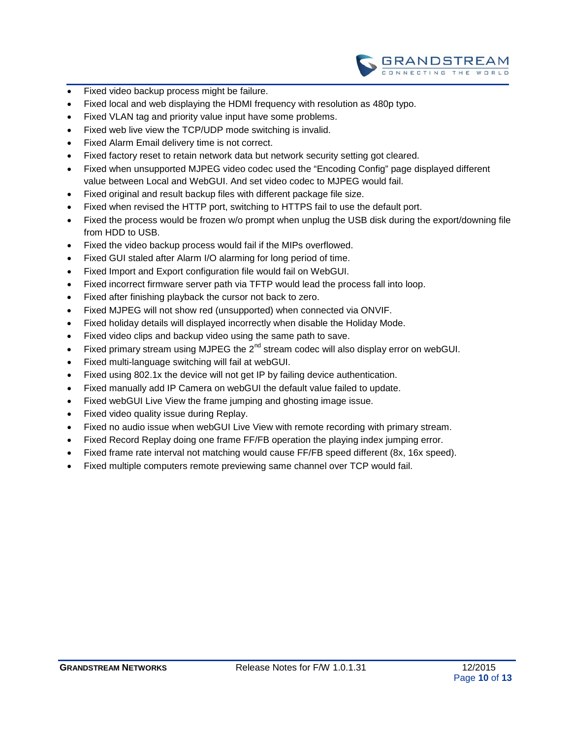

- Fixed video backup process might be failure.
- Fixed local and web displaying the HDMI frequency with resolution as 480p typo.
- Fixed VLAN tag and priority value input have some problems.
- Fixed web live view the TCP/UDP mode switching is invalid.
- Fixed Alarm Email delivery time is not correct.
- Fixed factory reset to retain network data but network security setting got cleared.
- Fixed when unsupported MJPEG video codec used the "Encoding Config" page displayed different value between Local and WebGUI. And set video codec to MJPEG would fail.
- Fixed original and result backup files with different package file size.
- Fixed when revised the HTTP port, switching to HTTPS fail to use the default port.
- Fixed the process would be frozen w/o prompt when unplug the USB disk during the export/downing file from HDD to USB.
- Fixed the video backup process would fail if the MIPs overflowed.
- Fixed GUI staled after Alarm I/O alarming for long period of time.
- Fixed Import and Export configuration file would fail on WebGUI.
- Fixed incorrect firmware server path via TFTP would lead the process fall into loop.
- Fixed after finishing playback the cursor not back to zero.
- Fixed MJPEG will not show red (unsupported) when connected via ONVIF.
- Fixed holiday details will displayed incorrectly when disable the Holiday Mode.
- Fixed video clips and backup video using the same path to save.
- Fixed primary stream using MJPEG the  $2<sup>nd</sup>$  stream codec will also display error on webGUI.
- Fixed multi-language switching will fail at webGUI.
- Fixed using 802.1x the device will not get IP by failing device authentication.
- Fixed manually add IP Camera on webGUI the default value failed to update.
- Fixed webGUI Live View the frame jumping and ghosting image issue.
- Fixed video quality issue during Replay.
- Fixed no audio issue when webGUI Live View with remote recording with primary stream.
- Fixed Record Replay doing one frame FF/FB operation the playing index jumping error.
- Fixed frame rate interval not matching would cause FF/FB speed different (8x, 16x speed).
- Fixed multiple computers remote previewing same channel over TCP would fail.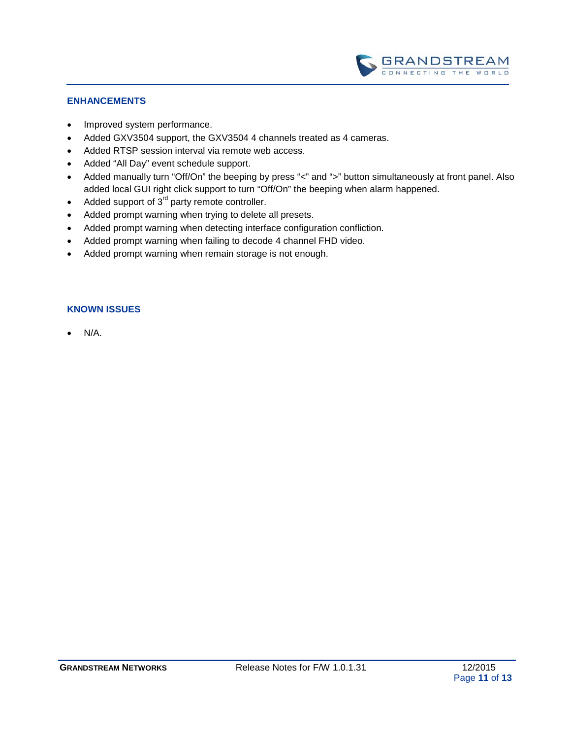

- Improved system performance.
- Added GXV3504 support, the GXV3504 4 channels treated as 4 cameras.
- Added RTSP session interval via remote web access.
- Added "All Day" event schedule support.
- Added manually turn "Off/On" the beeping by press "<" and ">" button simultaneously at front panel. Also added local GUI right click support to turn "Off/On" the beeping when alarm happened.
- Added support of  $3<sup>rd</sup>$  party remote controller.
- Added prompt warning when trying to delete all presets.
- Added prompt warning when detecting interface configuration confliction.
- Added prompt warning when failing to decode 4 channel FHD video.
- Added prompt warning when remain storage is not enough.

#### **KNOWN ISSUES**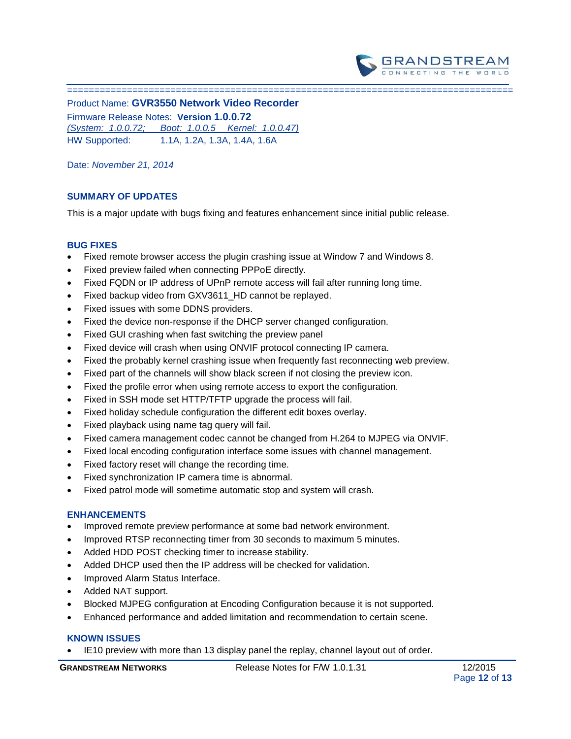

Product Name: **GVR3550 Network Video Recorder** Firmware Release Notes: **Version 1.0.0.72** *(System: 1.0.0.72; Boot: 1.0.0.5 Kernel: 1.0.0.47)* HW Supported: 1.1A, 1.2A, 1.3A, 1.4A, 1.6A

Date: *November 21, 2014*

==================================================================================

## **SUMMARY OF UPDATES**

This is a major update with bugs fixing and features enhancement since initial public release.

#### **BUG FIXES**

- Fixed remote browser access the plugin crashing issue at Window 7 and Windows 8.
- Fixed preview failed when connecting PPPoE directly.
- Fixed FQDN or IP address of UPnP remote access will fail after running long time.
- Fixed backup video from GXV3611\_HD cannot be replayed.
- Fixed issues with some DDNS providers.
- Fixed the device non-response if the DHCP server changed configuration.
- Fixed GUI crashing when fast switching the preview panel
- Fixed device will crash when using ONVIF protocol connecting IP camera.
- Fixed the probably kernel crashing issue when frequently fast reconnecting web preview.
- Fixed part of the channels will show black screen if not closing the preview icon.
- Fixed the profile error when using remote access to export the configuration.
- Fixed in SSH mode set HTTP/TFTP upgrade the process will fail.
- Fixed holiday schedule configuration the different edit boxes overlay.
- Fixed playback using name tag query will fail.
- Fixed camera management codec cannot be changed from H.264 to MJPEG via ONVIF.
- Fixed local encoding configuration interface some issues with channel management.
- Fixed factory reset will change the recording time.
- Fixed synchronization IP camera time is abnormal.
- Fixed patrol mode will sometime automatic stop and system will crash.

#### **ENHANCEMENTS**

- Improved remote preview performance at some bad network environment.
- Improved RTSP reconnecting timer from 30 seconds to maximum 5 minutes.
- Added HDD POST checking timer to increase stability.
- Added DHCP used then the IP address will be checked for validation.
- Improved Alarm Status Interface.
- Added NAT support.
- Blocked MJPEG configuration at Encoding Configuration because it is not supported.
- Enhanced performance and added limitation and recommendation to certain scene.

### **KNOWN ISSUES**

IE10 preview with more than 13 display panel the replay, channel layout out of order.